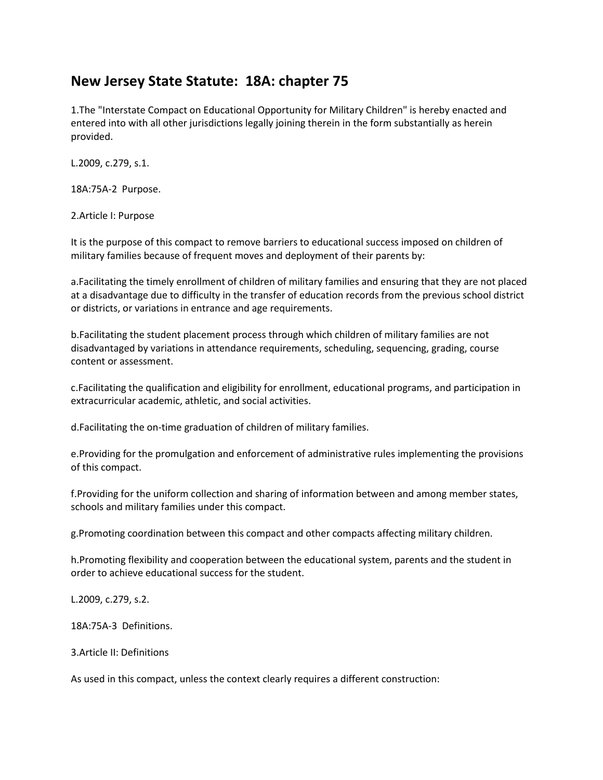# **New Jersey State Statute: 18A: chapter 75**

1.The "Interstate Compact on Educational Opportunity for Military Children" is hereby enacted and entered into with all other jurisdictions legally joining therein in the form substantially as herein provided.

L.2009, c.279, s.1.

18A:75A-2 Purpose.

2.Article I: Purpose

It is the purpose of this compact to remove barriers to educational success imposed on children of military families because of frequent moves and deployment of their parents by:

a.Facilitating the timely enrollment of children of military families and ensuring that they are not placed at a disadvantage due to difficulty in the transfer of education records from the previous school district or districts, or variations in entrance and age requirements.

b.Facilitating the student placement process through which children of military families are not disadvantaged by variations in attendance requirements, scheduling, sequencing, grading, course content or assessment.

c.Facilitating the qualification and eligibility for enrollment, educational programs, and participation in extracurricular academic, athletic, and social activities.

d.Facilitating the on-time graduation of children of military families.

e.Providing for the promulgation and enforcement of administrative rules implementing the provisions of this compact.

f.Providing for the uniform collection and sharing of information between and among member states, schools and military families under this compact.

g.Promoting coordination between this compact and other compacts affecting military children.

h.Promoting flexibility and cooperation between the educational system, parents and the student in order to achieve educational success for the student.

L.2009, c.279, s.2.

18A:75A-3 Definitions.

3.Article II: Definitions

As used in this compact, unless the context clearly requires a different construction: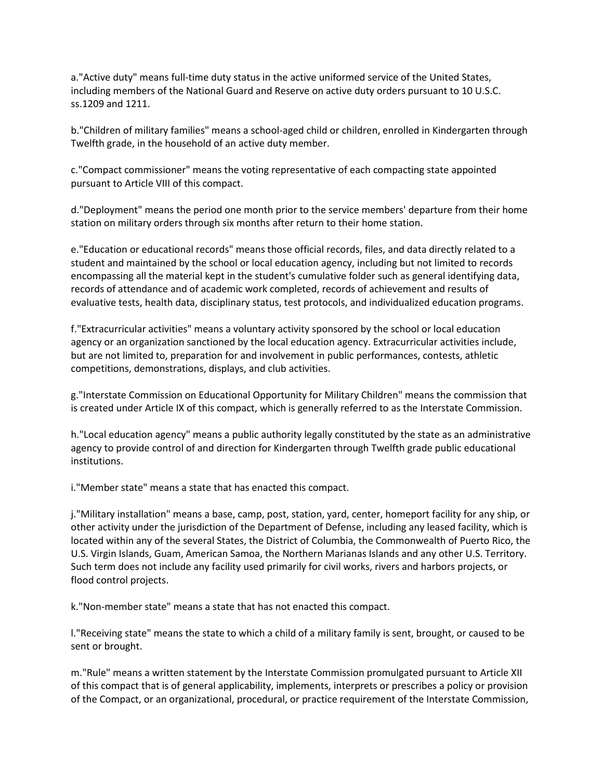a."Active duty" means full-time duty status in the active uniformed service of the United States, including members of the National Guard and Reserve on active duty orders pursuant to 10 U.S.C. ss.1209 and 1211.

b."Children of military families" means a school-aged child or children, enrolled in Kindergarten through Twelfth grade, in the household of an active duty member.

c."Compact commissioner" means the voting representative of each compacting state appointed pursuant to Article VIII of this compact.

d."Deployment" means the period one month prior to the service members' departure from their home station on military orders through six months after return to their home station.

e."Education or educational records" means those official records, files, and data directly related to a student and maintained by the school or local education agency, including but not limited to records encompassing all the material kept in the student's cumulative folder such as general identifying data, records of attendance and of academic work completed, records of achievement and results of evaluative tests, health data, disciplinary status, test protocols, and individualized education programs.

f."Extracurricular activities" means a voluntary activity sponsored by the school or local education agency or an organization sanctioned by the local education agency. Extracurricular activities include, but are not limited to, preparation for and involvement in public performances, contests, athletic competitions, demonstrations, displays, and club activities.

g."Interstate Commission on Educational Opportunity for Military Children" means the commission that is created under Article IX of this compact, which is generally referred to as the Interstate Commission.

h."Local education agency" means a public authority legally constituted by the state as an administrative agency to provide control of and direction for Kindergarten through Twelfth grade public educational institutions.

i."Member state" means a state that has enacted this compact.

j."Military installation" means a base, camp, post, station, yard, center, homeport facility for any ship, or other activity under the jurisdiction of the Department of Defense, including any leased facility, which is located within any of the several States, the District of Columbia, the Commonwealth of Puerto Rico, the U.S. Virgin Islands, Guam, American Samoa, the Northern Marianas Islands and any other U.S. Territory. Such term does not include any facility used primarily for civil works, rivers and harbors projects, or flood control projects.

k."Non-member state" means a state that has not enacted this compact.

l."Receiving state" means the state to which a child of a military family is sent, brought, or caused to be sent or brought.

m."Rule" means a written statement by the Interstate Commission promulgated pursuant to Article XII of this compact that is of general applicability, implements, interprets or prescribes a policy or provision of the Compact, or an organizational, procedural, or practice requirement of the Interstate Commission,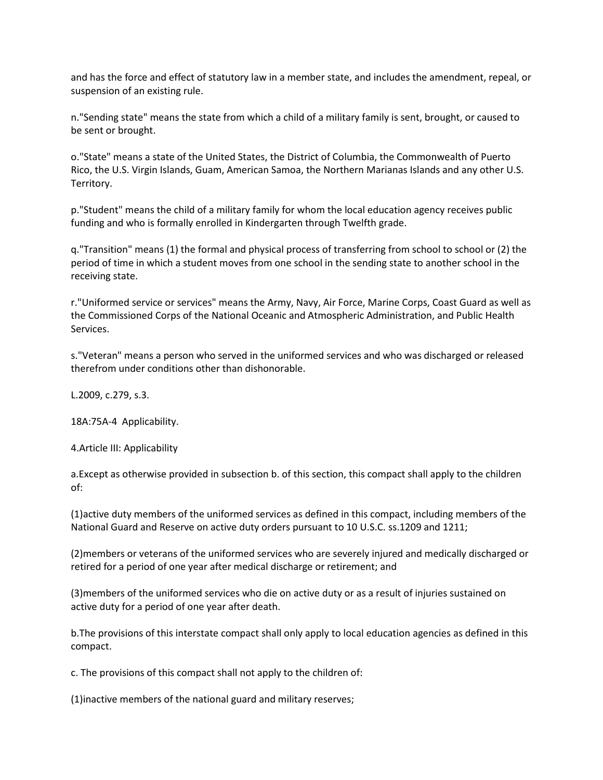and has the force and effect of statutory law in a member state, and includes the amendment, repeal, or suspension of an existing rule.

n."Sending state" means the state from which a child of a military family is sent, brought, or caused to be sent or brought.

o."State" means a state of the United States, the District of Columbia, the Commonwealth of Puerto Rico, the U.S. Virgin Islands, Guam, American Samoa, the Northern Marianas Islands and any other U.S. Territory.

p."Student" means the child of a military family for whom the local education agency receives public funding and who is formally enrolled in Kindergarten through Twelfth grade.

q."Transition" means (1) the formal and physical process of transferring from school to school or (2) the period of time in which a student moves from one school in the sending state to another school in the receiving state.

r."Uniformed service or services" means the Army, Navy, Air Force, Marine Corps, Coast Guard as well as the Commissioned Corps of the National Oceanic and Atmospheric Administration, and Public Health Services.

s."Veteran" means a person who served in the uniformed services and who was discharged or released therefrom under conditions other than dishonorable.

L.2009, c.279, s.3.

18A:75A-4 Applicability.

4.Article III: Applicability

a.Except as otherwise provided in subsection b. of this section, this compact shall apply to the children of:

(1)active duty members of the uniformed services as defined in this compact, including members of the National Guard and Reserve on active duty orders pursuant to 10 U.S.C. ss.1209 and 1211;

(2)members or veterans of the uniformed services who are severely injured and medically discharged or retired for a period of one year after medical discharge or retirement; and

(3)members of the uniformed services who die on active duty or as a result of injuries sustained on active duty for a period of one year after death.

b.The provisions of this interstate compact shall only apply to local education agencies as defined in this compact.

c. The provisions of this compact shall not apply to the children of:

(1)inactive members of the national guard and military reserves;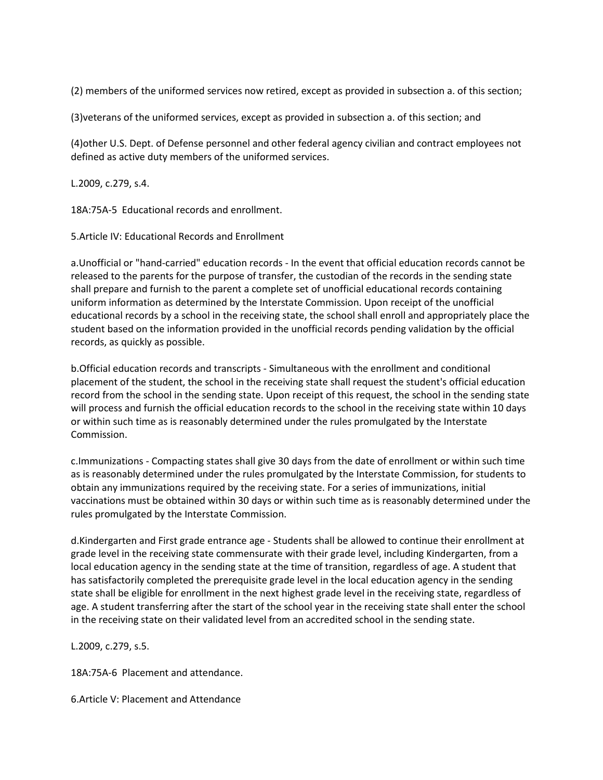(2) members of the uniformed services now retired, except as provided in subsection a. of this section;

(3)veterans of the uniformed services, except as provided in subsection a. of this section; and

(4)other U.S. Dept. of Defense personnel and other federal agency civilian and contract employees not defined as active duty members of the uniformed services.

L.2009, c.279, s.4.

18A:75A-5 Educational records and enrollment.

5.Article IV: Educational Records and Enrollment

a.Unofficial or "hand-carried" education records - In the event that official education records cannot be released to the parents for the purpose of transfer, the custodian of the records in the sending state shall prepare and furnish to the parent a complete set of unofficial educational records containing uniform information as determined by the Interstate Commission. Upon receipt of the unofficial educational records by a school in the receiving state, the school shall enroll and appropriately place the student based on the information provided in the unofficial records pending validation by the official records, as quickly as possible.

b.Official education records and transcripts - Simultaneous with the enrollment and conditional placement of the student, the school in the receiving state shall request the student's official education record from the school in the sending state. Upon receipt of this request, the school in the sending state will process and furnish the official education records to the school in the receiving state within 10 days or within such time as is reasonably determined under the rules promulgated by the Interstate Commission.

c.Immunizations - Compacting states shall give 30 days from the date of enrollment or within such time as is reasonably determined under the rules promulgated by the Interstate Commission, for students to obtain any immunizations required by the receiving state. For a series of immunizations, initial vaccinations must be obtained within 30 days or within such time as is reasonably determined under the rules promulgated by the Interstate Commission.

d.Kindergarten and First grade entrance age - Students shall be allowed to continue their enrollment at grade level in the receiving state commensurate with their grade level, including Kindergarten, from a local education agency in the sending state at the time of transition, regardless of age. A student that has satisfactorily completed the prerequisite grade level in the local education agency in the sending state shall be eligible for enrollment in the next highest grade level in the receiving state, regardless of age. A student transferring after the start of the school year in the receiving state shall enter the school in the receiving state on their validated level from an accredited school in the sending state.

L.2009, c.279, s.5.

18A:75A-6 Placement and attendance.

6.Article V: Placement and Attendance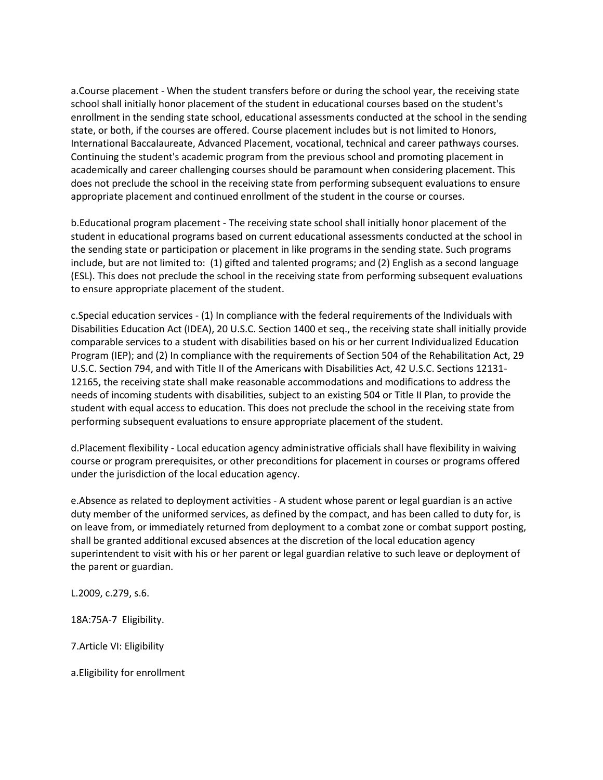a.Course placement - When the student transfers before or during the school year, the receiving state school shall initially honor placement of the student in educational courses based on the student's enrollment in the sending state school, educational assessments conducted at the school in the sending state, or both, if the courses are offered. Course placement includes but is not limited to Honors, International Baccalaureate, Advanced Placement, vocational, technical and career pathways courses. Continuing the student's academic program from the previous school and promoting placement in academically and career challenging courses should be paramount when considering placement. This does not preclude the school in the receiving state from performing subsequent evaluations to ensure appropriate placement and continued enrollment of the student in the course or courses.

b.Educational program placement - The receiving state school shall initially honor placement of the student in educational programs based on current educational assessments conducted at the school in the sending state or participation or placement in like programs in the sending state. Such programs include, but are not limited to: (1) gifted and talented programs; and (2) English as a second language (ESL). This does not preclude the school in the receiving state from performing subsequent evaluations to ensure appropriate placement of the student.

c.Special education services - (1) In compliance with the federal requirements of the Individuals with Disabilities Education Act (IDEA), 20 U.S.C. Section 1400 et seq., the receiving state shall initially provide comparable services to a student with disabilities based on his or her current Individualized Education Program (IEP); and (2) In compliance with the requirements of Section 504 of the Rehabilitation Act, 29 U.S.C. Section 794, and with Title II of the Americans with Disabilities Act, 42 U.S.C. Sections 12131- 12165, the receiving state shall make reasonable accommodations and modifications to address the needs of incoming students with disabilities, subject to an existing 504 or Title II Plan, to provide the student with equal access to education. This does not preclude the school in the receiving state from performing subsequent evaluations to ensure appropriate placement of the student.

d.Placement flexibility - Local education agency administrative officials shall have flexibility in waiving course or program prerequisites, or other preconditions for placement in courses or programs offered under the jurisdiction of the local education agency.

e.Absence as related to deployment activities - A student whose parent or legal guardian is an active duty member of the uniformed services, as defined by the compact, and has been called to duty for, is on leave from, or immediately returned from deployment to a combat zone or combat support posting, shall be granted additional excused absences at the discretion of the local education agency superintendent to visit with his or her parent or legal guardian relative to such leave or deployment of the parent or guardian.

L.2009, c.279, s.6.

18A:75A-7 Eligibility.

7.Article VI: Eligibility

a.Eligibility for enrollment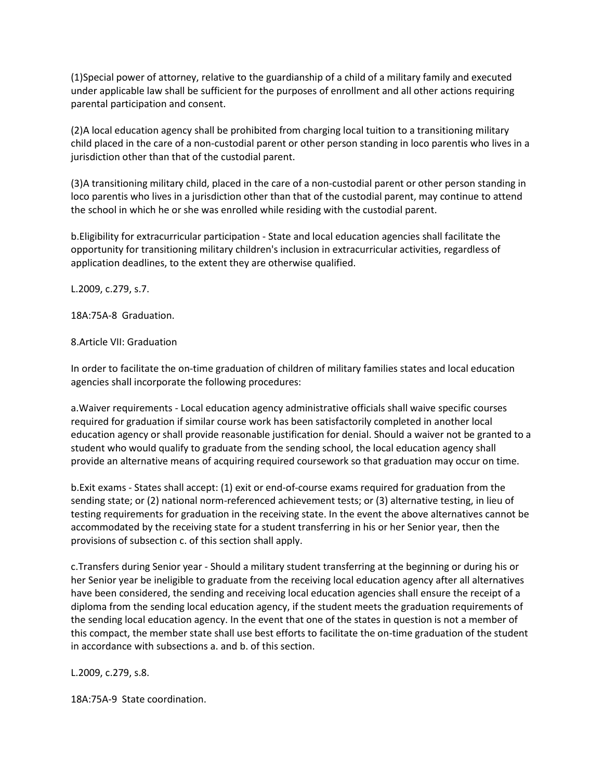(1)Special power of attorney, relative to the guardianship of a child of a military family and executed under applicable law shall be sufficient for the purposes of enrollment and all other actions requiring parental participation and consent.

(2)A local education agency shall be prohibited from charging local tuition to a transitioning military child placed in the care of a non-custodial parent or other person standing in loco parentis who lives in a jurisdiction other than that of the custodial parent.

(3)A transitioning military child, placed in the care of a non-custodial parent or other person standing in loco parentis who lives in a jurisdiction other than that of the custodial parent, may continue to attend the school in which he or she was enrolled while residing with the custodial parent.

b.Eligibility for extracurricular participation - State and local education agencies shall facilitate the opportunity for transitioning military children's inclusion in extracurricular activities, regardless of application deadlines, to the extent they are otherwise qualified.

L.2009, c.279, s.7.

18A:75A-8 Graduation.

## 8.Article VII: Graduation

In order to facilitate the on-time graduation of children of military families states and local education agencies shall incorporate the following procedures:

a.Waiver requirements - Local education agency administrative officials shall waive specific courses required for graduation if similar course work has been satisfactorily completed in another local education agency or shall provide reasonable justification for denial. Should a waiver not be granted to a student who would qualify to graduate from the sending school, the local education agency shall provide an alternative means of acquiring required coursework so that graduation may occur on time.

b.Exit exams - States shall accept: (1) exit or end-of-course exams required for graduation from the sending state; or (2) national norm-referenced achievement tests; or (3) alternative testing, in lieu of testing requirements for graduation in the receiving state. In the event the above alternatives cannot be accommodated by the receiving state for a student transferring in his or her Senior year, then the provisions of subsection c. of this section shall apply.

c.Transfers during Senior year - Should a military student transferring at the beginning or during his or her Senior year be ineligible to graduate from the receiving local education agency after all alternatives have been considered, the sending and receiving local education agencies shall ensure the receipt of a diploma from the sending local education agency, if the student meets the graduation requirements of the sending local education agency. In the event that one of the states in question is not a member of this compact, the member state shall use best efforts to facilitate the on-time graduation of the student in accordance with subsections a. and b. of this section.

L.2009, c.279, s.8.

18A:75A-9 State coordination.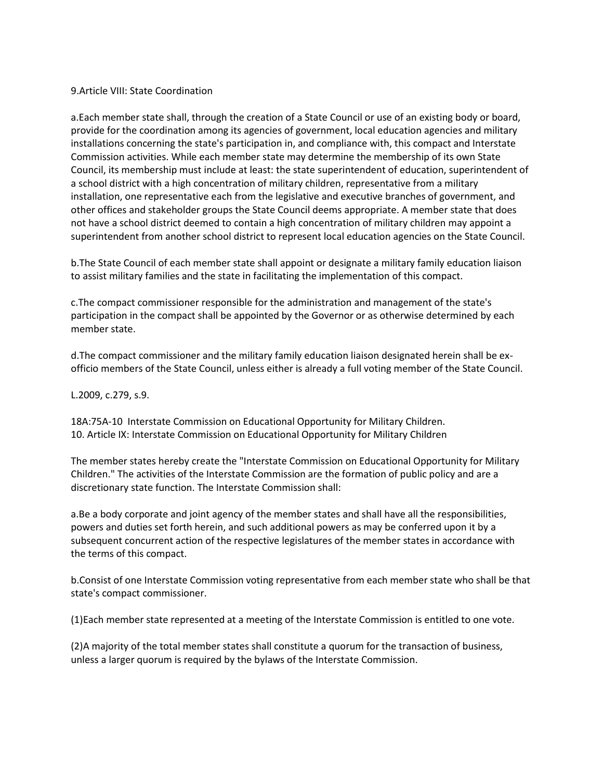#### 9.Article VIII: State Coordination

a.Each member state shall, through the creation of a State Council or use of an existing body or board, provide for the coordination among its agencies of government, local education agencies and military installations concerning the state's participation in, and compliance with, this compact and Interstate Commission activities. While each member state may determine the membership of its own State Council, its membership must include at least: the state superintendent of education, superintendent of a school district with a high concentration of military children, representative from a military installation, one representative each from the legislative and executive branches of government, and other offices and stakeholder groups the State Council deems appropriate. A member state that does not have a school district deemed to contain a high concentration of military children may appoint a superintendent from another school district to represent local education agencies on the State Council.

b.The State Council of each member state shall appoint or designate a military family education liaison to assist military families and the state in facilitating the implementation of this compact.

c.The compact commissioner responsible for the administration and management of the state's participation in the compact shall be appointed by the Governor or as otherwise determined by each member state.

d.The compact commissioner and the military family education liaison designated herein shall be exofficio members of the State Council, unless either is already a full voting member of the State Council.

L.2009, c.279, s.9.

18A:75A-10 Interstate Commission on Educational Opportunity for Military Children. 10. Article IX: Interstate Commission on Educational Opportunity for Military Children

The member states hereby create the "Interstate Commission on Educational Opportunity for Military Children." The activities of the Interstate Commission are the formation of public policy and are a discretionary state function. The Interstate Commission shall:

a.Be a body corporate and joint agency of the member states and shall have all the responsibilities, powers and duties set forth herein, and such additional powers as may be conferred upon it by a subsequent concurrent action of the respective legislatures of the member states in accordance with the terms of this compact.

b.Consist of one Interstate Commission voting representative from each member state who shall be that state's compact commissioner.

(1)Each member state represented at a meeting of the Interstate Commission is entitled to one vote.

(2)A majority of the total member states shall constitute a quorum for the transaction of business, unless a larger quorum is required by the bylaws of the Interstate Commission.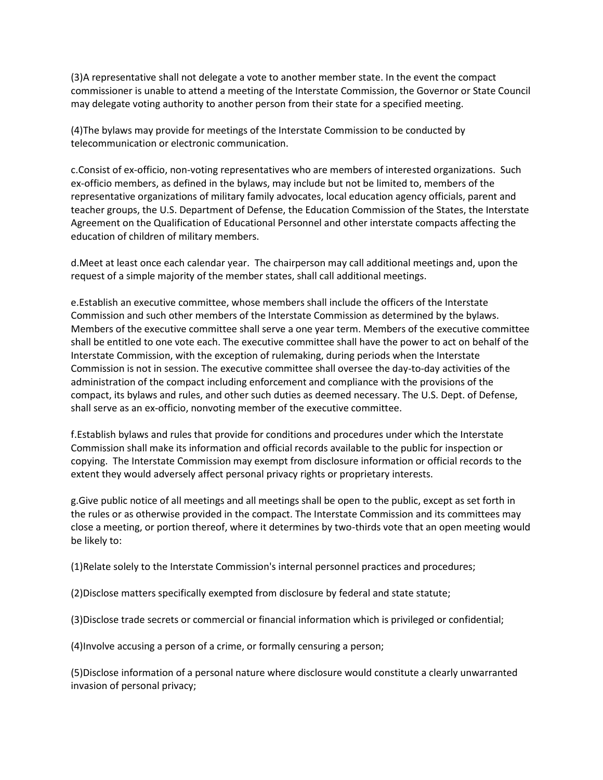(3)A representative shall not delegate a vote to another member state. In the event the compact commissioner is unable to attend a meeting of the Interstate Commission, the Governor or State Council may delegate voting authority to another person from their state for a specified meeting.

(4)The bylaws may provide for meetings of the Interstate Commission to be conducted by telecommunication or electronic communication.

c.Consist of ex-officio, non-voting representatives who are members of interested organizations. Such ex-officio members, as defined in the bylaws, may include but not be limited to, members of the representative organizations of military family advocates, local education agency officials, parent and teacher groups, the U.S. Department of Defense, the Education Commission of the States, the Interstate Agreement on the Qualification of Educational Personnel and other interstate compacts affecting the education of children of military members.

d.Meet at least once each calendar year. The chairperson may call additional meetings and, upon the request of a simple majority of the member states, shall call additional meetings.

e.Establish an executive committee, whose members shall include the officers of the Interstate Commission and such other members of the Interstate Commission as determined by the bylaws. Members of the executive committee shall serve a one year term. Members of the executive committee shall be entitled to one vote each. The executive committee shall have the power to act on behalf of the Interstate Commission, with the exception of rulemaking, during periods when the Interstate Commission is not in session. The executive committee shall oversee the day-to-day activities of the administration of the compact including enforcement and compliance with the provisions of the compact, its bylaws and rules, and other such duties as deemed necessary. The U.S. Dept. of Defense, shall serve as an ex-officio, nonvoting member of the executive committee.

f.Establish bylaws and rules that provide for conditions and procedures under which the Interstate Commission shall make its information and official records available to the public for inspection or copying. The Interstate Commission may exempt from disclosure information or official records to the extent they would adversely affect personal privacy rights or proprietary interests.

g.Give public notice of all meetings and all meetings shall be open to the public, except as set forth in the rules or as otherwise provided in the compact. The Interstate Commission and its committees may close a meeting, or portion thereof, where it determines by two-thirds vote that an open meeting would be likely to:

(1)Relate solely to the Interstate Commission's internal personnel practices and procedures;

(2)Disclose matters specifically exempted from disclosure by federal and state statute;

(3)Disclose trade secrets or commercial or financial information which is privileged or confidential;

(4)Involve accusing a person of a crime, or formally censuring a person;

(5)Disclose information of a personal nature where disclosure would constitute a clearly unwarranted invasion of personal privacy;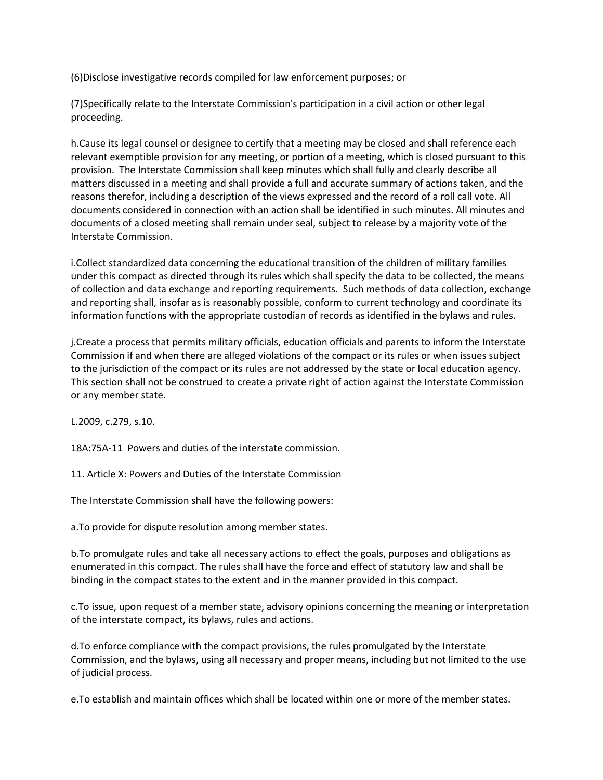(6)Disclose investigative records compiled for law enforcement purposes; or

(7)Specifically relate to the Interstate Commission's participation in a civil action or other legal proceeding.

h.Cause its legal counsel or designee to certify that a meeting may be closed and shall reference each relevant exemptible provision for any meeting, or portion of a meeting, which is closed pursuant to this provision. The Interstate Commission shall keep minutes which shall fully and clearly describe all matters discussed in a meeting and shall provide a full and accurate summary of actions taken, and the reasons therefor, including a description of the views expressed and the record of a roll call vote. All documents considered in connection with an action shall be identified in such minutes. All minutes and documents of a closed meeting shall remain under seal, subject to release by a majority vote of the Interstate Commission.

i.Collect standardized data concerning the educational transition of the children of military families under this compact as directed through its rules which shall specify the data to be collected, the means of collection and data exchange and reporting requirements. Such methods of data collection, exchange and reporting shall, insofar as is reasonably possible, conform to current technology and coordinate its information functions with the appropriate custodian of records as identified in the bylaws and rules.

j.Create a process that permits military officials, education officials and parents to inform the Interstate Commission if and when there are alleged violations of the compact or its rules or when issues subject to the jurisdiction of the compact or its rules are not addressed by the state or local education agency. This section shall not be construed to create a private right of action against the Interstate Commission or any member state.

L.2009, c.279, s.10.

18A:75A-11 Powers and duties of the interstate commission.

11. Article X: Powers and Duties of the Interstate Commission

The Interstate Commission shall have the following powers:

a.To provide for dispute resolution among member states.

b.To promulgate rules and take all necessary actions to effect the goals, purposes and obligations as enumerated in this compact. The rules shall have the force and effect of statutory law and shall be binding in the compact states to the extent and in the manner provided in this compact.

c.To issue, upon request of a member state, advisory opinions concerning the meaning or interpretation of the interstate compact, its bylaws, rules and actions.

d.To enforce compliance with the compact provisions, the rules promulgated by the Interstate Commission, and the bylaws, using all necessary and proper means, including but not limited to the use of judicial process.

e.To establish and maintain offices which shall be located within one or more of the member states.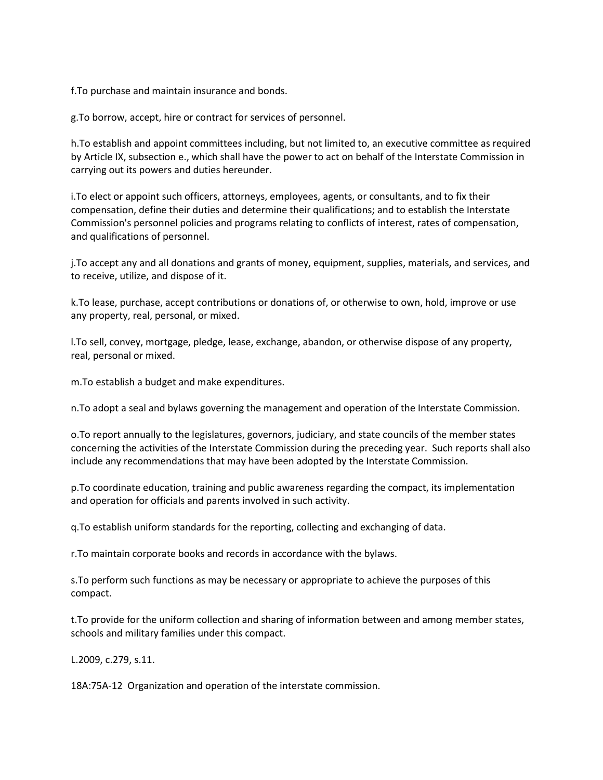f.To purchase and maintain insurance and bonds.

g.To borrow, accept, hire or contract for services of personnel.

h.To establish and appoint committees including, but not limited to, an executive committee as required by Article IX, subsection e., which shall have the power to act on behalf of the Interstate Commission in carrying out its powers and duties hereunder.

i.To elect or appoint such officers, attorneys, employees, agents, or consultants, and to fix their compensation, define their duties and determine their qualifications; and to establish the Interstate Commission's personnel policies and programs relating to conflicts of interest, rates of compensation, and qualifications of personnel.

j.To accept any and all donations and grants of money, equipment, supplies, materials, and services, and to receive, utilize, and dispose of it.

k.To lease, purchase, accept contributions or donations of, or otherwise to own, hold, improve or use any property, real, personal, or mixed.

l.To sell, convey, mortgage, pledge, lease, exchange, abandon, or otherwise dispose of any property, real, personal or mixed.

m.To establish a budget and make expenditures.

n.To adopt a seal and bylaws governing the management and operation of the Interstate Commission.

o.To report annually to the legislatures, governors, judiciary, and state councils of the member states concerning the activities of the Interstate Commission during the preceding year. Such reports shall also include any recommendations that may have been adopted by the Interstate Commission.

p.To coordinate education, training and public awareness regarding the compact, its implementation and operation for officials and parents involved in such activity.

q.To establish uniform standards for the reporting, collecting and exchanging of data.

r.To maintain corporate books and records in accordance with the bylaws.

s.To perform such functions as may be necessary or appropriate to achieve the purposes of this compact.

t.To provide for the uniform collection and sharing of information between and among member states, schools and military families under this compact.

L.2009, c.279, s.11.

18A:75A-12 Organization and operation of the interstate commission.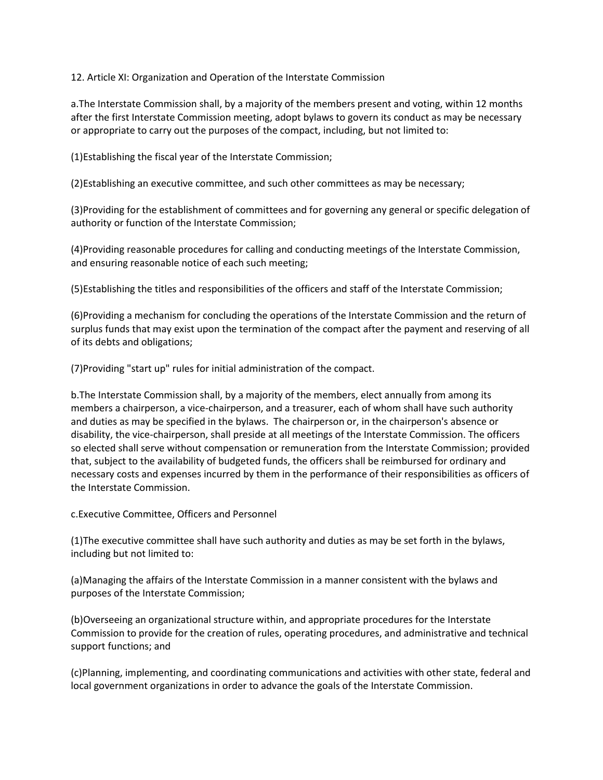12. Article XI: Organization and Operation of the Interstate Commission

a.The Interstate Commission shall, by a majority of the members present and voting, within 12 months after the first Interstate Commission meeting, adopt bylaws to govern its conduct as may be necessary or appropriate to carry out the purposes of the compact, including, but not limited to:

(1)Establishing the fiscal year of the Interstate Commission;

(2)Establishing an executive committee, and such other committees as may be necessary;

(3)Providing for the establishment of committees and for governing any general or specific delegation of authority or function of the Interstate Commission;

(4)Providing reasonable procedures for calling and conducting meetings of the Interstate Commission, and ensuring reasonable notice of each such meeting;

(5)Establishing the titles and responsibilities of the officers and staff of the Interstate Commission;

(6)Providing a mechanism for concluding the operations of the Interstate Commission and the return of surplus funds that may exist upon the termination of the compact after the payment and reserving of all of its debts and obligations;

(7)Providing "start up" rules for initial administration of the compact.

b.The Interstate Commission shall, by a majority of the members, elect annually from among its members a chairperson, a vice-chairperson, and a treasurer, each of whom shall have such authority and duties as may be specified in the bylaws. The chairperson or, in the chairperson's absence or disability, the vice-chairperson, shall preside at all meetings of the Interstate Commission. The officers so elected shall serve without compensation or remuneration from the Interstate Commission; provided that, subject to the availability of budgeted funds, the officers shall be reimbursed for ordinary and necessary costs and expenses incurred by them in the performance of their responsibilities as officers of the Interstate Commission.

c.Executive Committee, Officers and Personnel

(1)The executive committee shall have such authority and duties as may be set forth in the bylaws, including but not limited to:

(a)Managing the affairs of the Interstate Commission in a manner consistent with the bylaws and purposes of the Interstate Commission;

(b)Overseeing an organizational structure within, and appropriate procedures for the Interstate Commission to provide for the creation of rules, operating procedures, and administrative and technical support functions; and

(c)Planning, implementing, and coordinating communications and activities with other state, federal and local government organizations in order to advance the goals of the Interstate Commission.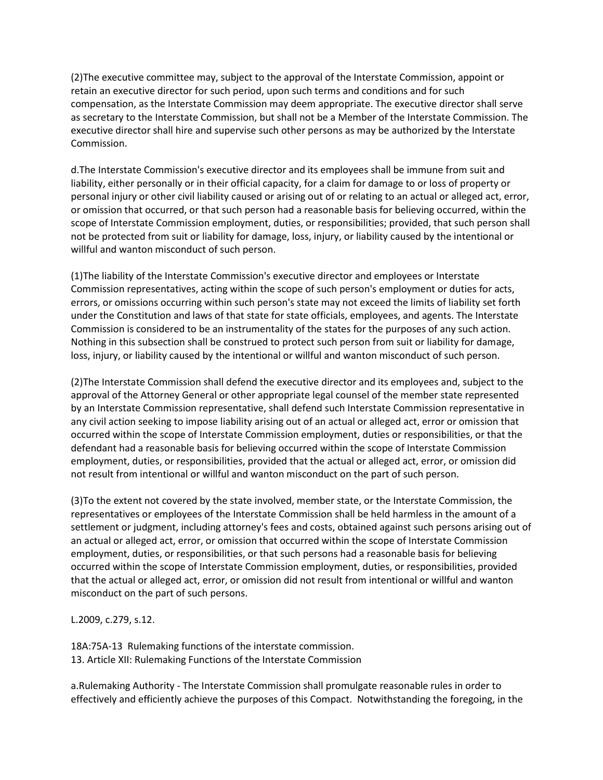(2)The executive committee may, subject to the approval of the Interstate Commission, appoint or retain an executive director for such period, upon such terms and conditions and for such compensation, as the Interstate Commission may deem appropriate. The executive director shall serve as secretary to the Interstate Commission, but shall not be a Member of the Interstate Commission. The executive director shall hire and supervise such other persons as may be authorized by the Interstate Commission.

d.The Interstate Commission's executive director and its employees shall be immune from suit and liability, either personally or in their official capacity, for a claim for damage to or loss of property or personal injury or other civil liability caused or arising out of or relating to an actual or alleged act, error, or omission that occurred, or that such person had a reasonable basis for believing occurred, within the scope of Interstate Commission employment, duties, or responsibilities; provided, that such person shall not be protected from suit or liability for damage, loss, injury, or liability caused by the intentional or willful and wanton misconduct of such person.

(1)The liability of the Interstate Commission's executive director and employees or Interstate Commission representatives, acting within the scope of such person's employment or duties for acts, errors, or omissions occurring within such person's state may not exceed the limits of liability set forth under the Constitution and laws of that state for state officials, employees, and agents. The Interstate Commission is considered to be an instrumentality of the states for the purposes of any such action. Nothing in this subsection shall be construed to protect such person from suit or liability for damage, loss, injury, or liability caused by the intentional or willful and wanton misconduct of such person.

(2)The Interstate Commission shall defend the executive director and its employees and, subject to the approval of the Attorney General or other appropriate legal counsel of the member state represented by an Interstate Commission representative, shall defend such Interstate Commission representative in any civil action seeking to impose liability arising out of an actual or alleged act, error or omission that occurred within the scope of Interstate Commission employment, duties or responsibilities, or that the defendant had a reasonable basis for believing occurred within the scope of Interstate Commission employment, duties, or responsibilities, provided that the actual or alleged act, error, or omission did not result from intentional or willful and wanton misconduct on the part of such person.

(3)To the extent not covered by the state involved, member state, or the Interstate Commission, the representatives or employees of the Interstate Commission shall be held harmless in the amount of a settlement or judgment, including attorney's fees and costs, obtained against such persons arising out of an actual or alleged act, error, or omission that occurred within the scope of Interstate Commission employment, duties, or responsibilities, or that such persons had a reasonable basis for believing occurred within the scope of Interstate Commission employment, duties, or responsibilities, provided that the actual or alleged act, error, or omission did not result from intentional or willful and wanton misconduct on the part of such persons.

L.2009, c.279, s.12.

18A:75A-13 Rulemaking functions of the interstate commission. 13. Article XII: Rulemaking Functions of the Interstate Commission

a.Rulemaking Authority - The Interstate Commission shall promulgate reasonable rules in order to effectively and efficiently achieve the purposes of this Compact. Notwithstanding the foregoing, in the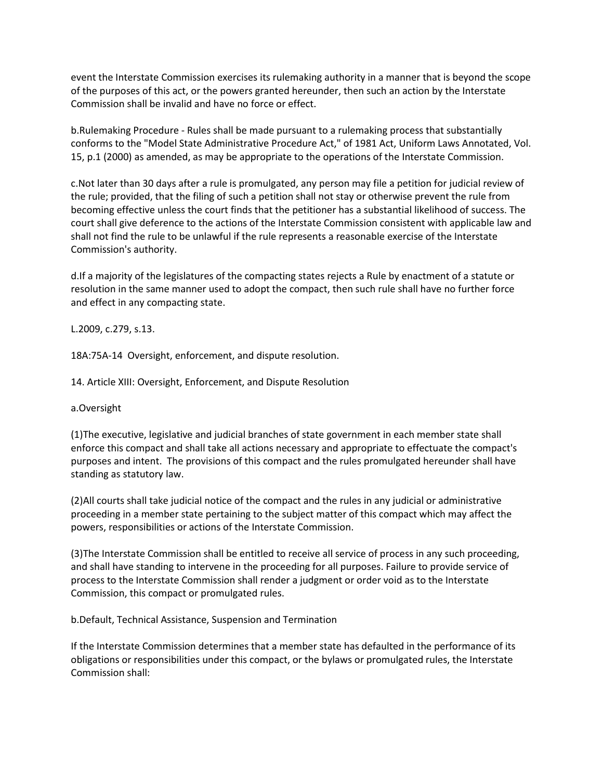event the Interstate Commission exercises its rulemaking authority in a manner that is beyond the scope of the purposes of this act, or the powers granted hereunder, then such an action by the Interstate Commission shall be invalid and have no force or effect.

b.Rulemaking Procedure - Rules shall be made pursuant to a rulemaking process that substantially conforms to the "Model State Administrative Procedure Act," of 1981 Act, Uniform Laws Annotated, Vol. 15, p.1 (2000) as amended, as may be appropriate to the operations of the Interstate Commission.

c.Not later than 30 days after a rule is promulgated, any person may file a petition for judicial review of the rule; provided, that the filing of such a petition shall not stay or otherwise prevent the rule from becoming effective unless the court finds that the petitioner has a substantial likelihood of success. The court shall give deference to the actions of the Interstate Commission consistent with applicable law and shall not find the rule to be unlawful if the rule represents a reasonable exercise of the Interstate Commission's authority.

d.If a majority of the legislatures of the compacting states rejects a Rule by enactment of a statute or resolution in the same manner used to adopt the compact, then such rule shall have no further force and effect in any compacting state.

L.2009, c.279, s.13.

18A:75A-14 Oversight, enforcement, and dispute resolution.

14. Article XIII: Oversight, Enforcement, and Dispute Resolution

a.Oversight

(1)The executive, legislative and judicial branches of state government in each member state shall enforce this compact and shall take all actions necessary and appropriate to effectuate the compact's purposes and intent. The provisions of this compact and the rules promulgated hereunder shall have standing as statutory law.

(2)All courts shall take judicial notice of the compact and the rules in any judicial or administrative proceeding in a member state pertaining to the subject matter of this compact which may affect the powers, responsibilities or actions of the Interstate Commission.

(3)The Interstate Commission shall be entitled to receive all service of process in any such proceeding, and shall have standing to intervene in the proceeding for all purposes. Failure to provide service of process to the Interstate Commission shall render a judgment or order void as to the Interstate Commission, this compact or promulgated rules.

b.Default, Technical Assistance, Suspension and Termination

If the Interstate Commission determines that a member state has defaulted in the performance of its obligations or responsibilities under this compact, or the bylaws or promulgated rules, the Interstate Commission shall: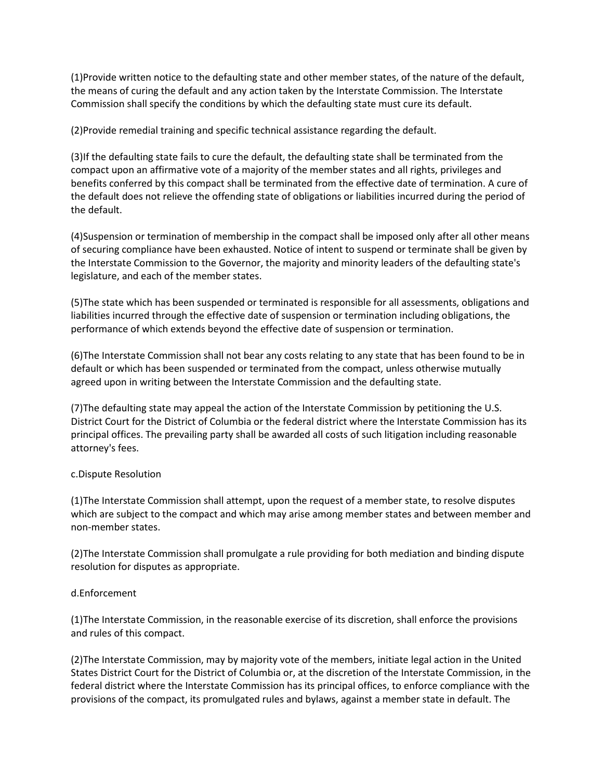(1)Provide written notice to the defaulting state and other member states, of the nature of the default, the means of curing the default and any action taken by the Interstate Commission. The Interstate Commission shall specify the conditions by which the defaulting state must cure its default.

(2)Provide remedial training and specific technical assistance regarding the default.

(3)If the defaulting state fails to cure the default, the defaulting state shall be terminated from the compact upon an affirmative vote of a majority of the member states and all rights, privileges and benefits conferred by this compact shall be terminated from the effective date of termination. A cure of the default does not relieve the offending state of obligations or liabilities incurred during the period of the default.

(4)Suspension or termination of membership in the compact shall be imposed only after all other means of securing compliance have been exhausted. Notice of intent to suspend or terminate shall be given by the Interstate Commission to the Governor, the majority and minority leaders of the defaulting state's legislature, and each of the member states.

(5)The state which has been suspended or terminated is responsible for all assessments, obligations and liabilities incurred through the effective date of suspension or termination including obligations, the performance of which extends beyond the effective date of suspension or termination.

(6)The Interstate Commission shall not bear any costs relating to any state that has been found to be in default or which has been suspended or terminated from the compact, unless otherwise mutually agreed upon in writing between the Interstate Commission and the defaulting state.

(7)The defaulting state may appeal the action of the Interstate Commission by petitioning the U.S. District Court for the District of Columbia or the federal district where the Interstate Commission has its principal offices. The prevailing party shall be awarded all costs of such litigation including reasonable attorney's fees.

### c.Dispute Resolution

(1)The Interstate Commission shall attempt, upon the request of a member state, to resolve disputes which are subject to the compact and which may arise among member states and between member and non-member states.

(2)The Interstate Commission shall promulgate a rule providing for both mediation and binding dispute resolution for disputes as appropriate.

### d.Enforcement

(1)The Interstate Commission, in the reasonable exercise of its discretion, shall enforce the provisions and rules of this compact.

(2)The Interstate Commission, may by majority vote of the members, initiate legal action in the United States District Court for the District of Columbia or, at the discretion of the Interstate Commission, in the federal district where the Interstate Commission has its principal offices, to enforce compliance with the provisions of the compact, its promulgated rules and bylaws, against a member state in default. The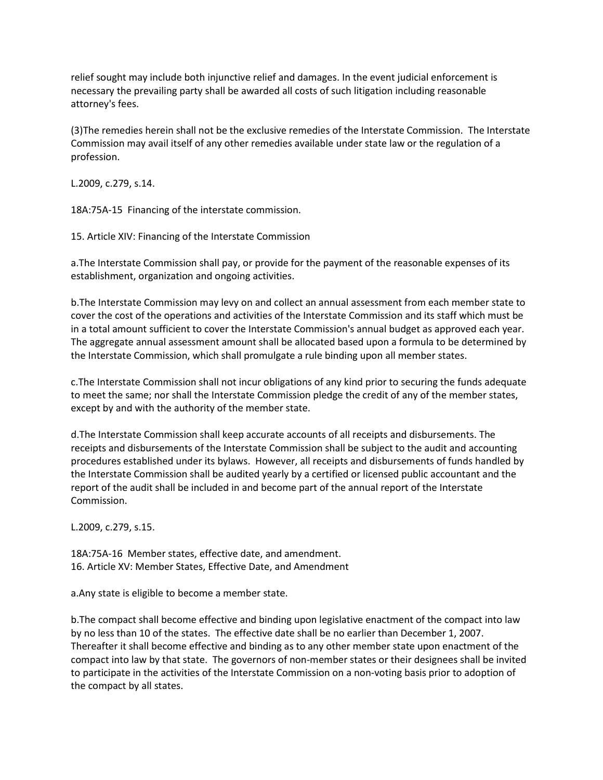relief sought may include both injunctive relief and damages. In the event judicial enforcement is necessary the prevailing party shall be awarded all costs of such litigation including reasonable attorney's fees.

(3)The remedies herein shall not be the exclusive remedies of the Interstate Commission. The Interstate Commission may avail itself of any other remedies available under state law or the regulation of a profession.

L.2009, c.279, s.14.

18A:75A-15 Financing of the interstate commission.

15. Article XIV: Financing of the Interstate Commission

a.The Interstate Commission shall pay, or provide for the payment of the reasonable expenses of its establishment, organization and ongoing activities.

b.The Interstate Commission may levy on and collect an annual assessment from each member state to cover the cost of the operations and activities of the Interstate Commission and its staff which must be in a total amount sufficient to cover the Interstate Commission's annual budget as approved each year. The aggregate annual assessment amount shall be allocated based upon a formula to be determined by the Interstate Commission, which shall promulgate a rule binding upon all member states.

c.The Interstate Commission shall not incur obligations of any kind prior to securing the funds adequate to meet the same; nor shall the Interstate Commission pledge the credit of any of the member states, except by and with the authority of the member state.

d.The Interstate Commission shall keep accurate accounts of all receipts and disbursements. The receipts and disbursements of the Interstate Commission shall be subject to the audit and accounting procedures established under its bylaws. However, all receipts and disbursements of funds handled by the Interstate Commission shall be audited yearly by a certified or licensed public accountant and the report of the audit shall be included in and become part of the annual report of the Interstate Commission.

L.2009, c.279, s.15.

18A:75A-16 Member states, effective date, and amendment. 16. Article XV: Member States, Effective Date, and Amendment

a.Any state is eligible to become a member state.

b.The compact shall become effective and binding upon legislative enactment of the compact into law by no less than 10 of the states. The effective date shall be no earlier than December 1, 2007. Thereafter it shall become effective and binding as to any other member state upon enactment of the compact into law by that state. The governors of non-member states or their designees shall be invited to participate in the activities of the Interstate Commission on a non-voting basis prior to adoption of the compact by all states.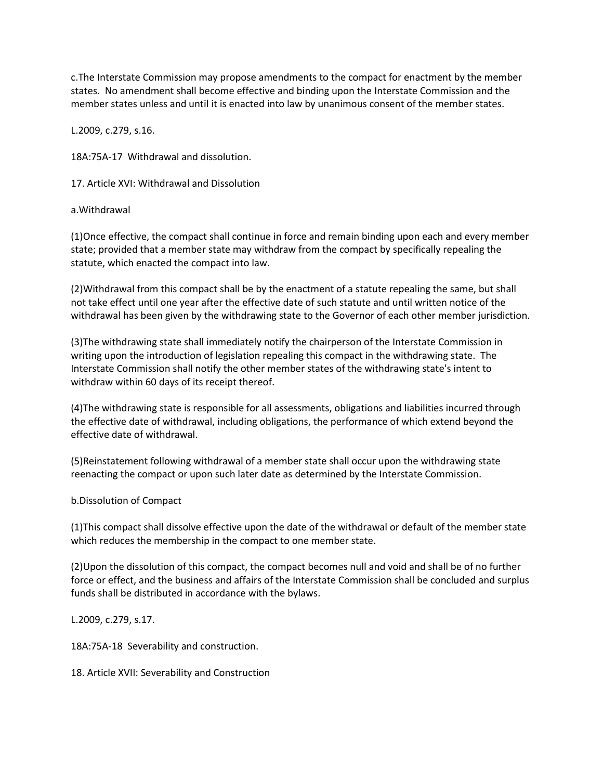c.The Interstate Commission may propose amendments to the compact for enactment by the member states. No amendment shall become effective and binding upon the Interstate Commission and the member states unless and until it is enacted into law by unanimous consent of the member states.

L.2009, c.279, s.16.

18A:75A-17 Withdrawal and dissolution.

17. Article XVI: Withdrawal and Dissolution

### a.Withdrawal

(1)Once effective, the compact shall continue in force and remain binding upon each and every member state; provided that a member state may withdraw from the compact by specifically repealing the statute, which enacted the compact into law.

(2)Withdrawal from this compact shall be by the enactment of a statute repealing the same, but shall not take effect until one year after the effective date of such statute and until written notice of the withdrawal has been given by the withdrawing state to the Governor of each other member jurisdiction.

(3)The withdrawing state shall immediately notify the chairperson of the Interstate Commission in writing upon the introduction of legislation repealing this compact in the withdrawing state. The Interstate Commission shall notify the other member states of the withdrawing state's intent to withdraw within 60 days of its receipt thereof.

(4)The withdrawing state is responsible for all assessments, obligations and liabilities incurred through the effective date of withdrawal, including obligations, the performance of which extend beyond the effective date of withdrawal.

(5)Reinstatement following withdrawal of a member state shall occur upon the withdrawing state reenacting the compact or upon such later date as determined by the Interstate Commission.

### b.Dissolution of Compact

(1)This compact shall dissolve effective upon the date of the withdrawal or default of the member state which reduces the membership in the compact to one member state.

(2)Upon the dissolution of this compact, the compact becomes null and void and shall be of no further force or effect, and the business and affairs of the Interstate Commission shall be concluded and surplus funds shall be distributed in accordance with the bylaws.

L.2009, c.279, s.17.

18A:75A-18 Severability and construction.

18. Article XVII: Severability and Construction